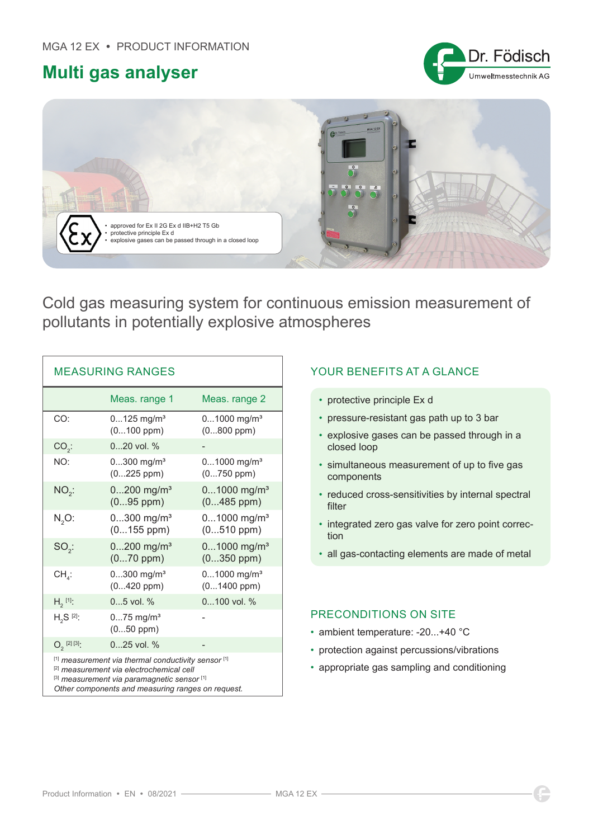## **Multi gas analyser**





Cold gas measuring system for continuous emission measurement of pollutants in potentially explosive atmospheres

| <b>MEASURING RANGES</b>                                                                                                                                                                             |                                             |                                              |
|-----------------------------------------------------------------------------------------------------------------------------------------------------------------------------------------------------|---------------------------------------------|----------------------------------------------|
|                                                                                                                                                                                                     | Meas. range 1                               | Meas. range 2                                |
| CO:                                                                                                                                                                                                 | $0125$ mg/m <sup>3</sup><br>$(0100$ ppm $)$ | $01000$ mg/m <sup>3</sup><br>$(0800$ ppm)    |
| $CO2$ :                                                                                                                                                                                             | $020$ vol. %                                |                                              |
| NO:                                                                                                                                                                                                 | $0300$ mg/m <sup>3</sup><br>$(0225$ ppm)    | $01000$ mg/m <sup>3</sup><br>$(0750$ ppm)    |
| $NO2$ :                                                                                                                                                                                             | $0200$ mg/m <sup>3</sup><br>$(095$ ppm $)$  | $01000$ mg/m <sup>3</sup><br>$(0485$ ppm)    |
| $N2O$ :                                                                                                                                                                                             | $0300$ mg/m <sup>3</sup><br>$(0155$ ppm)    | $01000$ mg/m <sup>3</sup><br>$(0510$ ppm $)$ |
| $SO_{2}$ :                                                                                                                                                                                          | $0200$ mg/m <sup>3</sup><br>$(070$ ppm $)$  | $01000$ mg/m <sup>3</sup><br>$(0350$ ppm $)$ |
| $CH_{4}$ :                                                                                                                                                                                          | $0300$ mg/m <sup>3</sup><br>$(0420$ ppm $)$ | $01000$ mg/m <sup>3</sup><br>$(01400$ ppm)   |
| $H_2^{[1]}$ :                                                                                                                                                                                       | $05$ vol. %                                 | 0100 vol. %                                  |
| $H_2S^{[2]}$ :                                                                                                                                                                                      | $075$ mg/m <sup>3</sup><br>$(050$ ppm)      |                                              |
| $O_2$ <sup>[2][3]</sup> :                                                                                                                                                                           | $025$ vol. $%$                              |                                              |
| [1] measurement via thermal conductivity sensor [1]<br>[2] measurement via electrochemical cell<br>[3] measurement via paramagnetic sensor [1]<br>Other components and measuring ranges on request. |                                             |                                              |

## YOUR BENEFITS AT A GLANCE

- protective principle Ex d
- pressure-resistant gas path up to 3 bar
- explosive gases can be passed through in a closed loop
- simultaneous measurement of up to five gas components
- reduced cross-sensitivities by internal spectral filter
- integrated zero gas valve for zero point correction
- all gas-contacting elements are made of metal

## PRECONDITIONS ON SITE

- ambient temperature: -20...+40 °C
- protection against percussions/vibrations
- appropriate gas sampling and conditioning